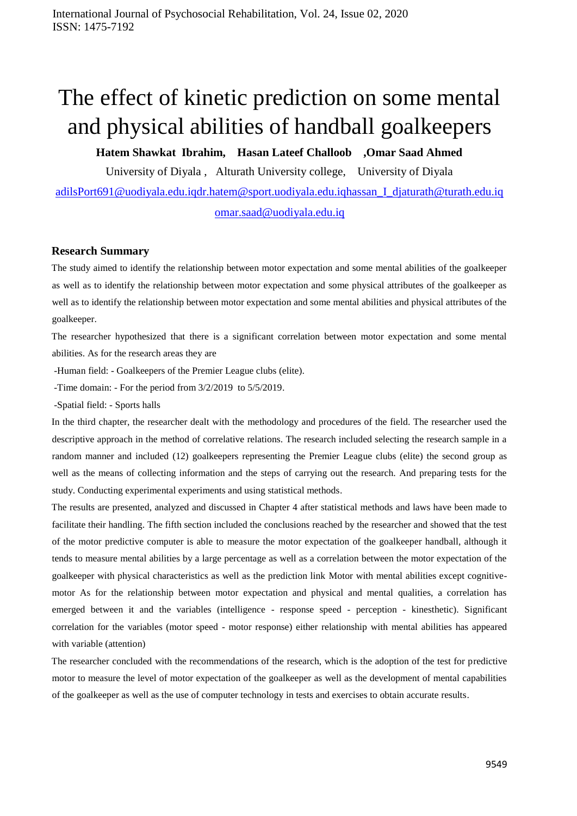# The effect of kinetic prediction on some mental and physical abilities of handball goalkeepers

**Hatem Shawkat Ibrahim, Hasan Lateef Challoob ,Omar Saad Ahmed**

University of Diyala , Alturath University college, University of Diyala

adilsPort691@uodiyala.edu.iqdr.hatem@sport.uodiyala.edu.iqhassan\_I\_djaturath@turath.edu.iq

omar.saad@uodiyala.edu.iq

### **Research Summary**

The study aimed to identify the relationship between motor expectation and some mental abilities of the goalkeeper as well as to identify the relationship between motor expectation and some physical attributes of the goalkeeper as well as to identify the relationship between motor expectation and some mental abilities and physical attributes of the goalkeeper.

The researcher hypothesized that there is a significant correlation between motor expectation and some mental abilities. As for the research areas they are

-Human field: - Goalkeepers of the Premier League clubs (elite).

-Time domain: - For the period from 3/2/2019 to 5/5/2019.

-Spatial field: - Sports halls

In the third chapter, the researcher dealt with the methodology and procedures of the field. The researcher used the descriptive approach in the method of correlative relations. The research included selecting the research sample in a random manner and included (12) goalkeepers representing the Premier League clubs (elite) the second group as well as the means of collecting information and the steps of carrying out the research. And preparing tests for the study. Conducting experimental experiments and using statistical methods.

The results are presented, analyzed and discussed in Chapter 4 after statistical methods and laws have been made to facilitate their handling. The fifth section included the conclusions reached by the researcher and showed that the test of the motor predictive computer is able to measure the motor expectation of the goalkeeper handball, although it tends to measure mental abilities by a large percentage as well as a correlation between the motor expectation of the goalkeeper with physical characteristics as well as the prediction link Motor with mental abilities except cognitivemotor As for the relationship between motor expectation and physical and mental qualities, a correlation has emerged between it and the variables (intelligence - response speed - perception - kinesthetic). Significant correlation for the variables (motor speed - motor response) either relationship with mental abilities has appeared with variable (attention)

The researcher concluded with the recommendations of the research, which is the adoption of the test for predictive motor to measure the level of motor expectation of the goalkeeper as well as the development of mental capabilities of the goalkeeper as well as the use of computer technology in tests and exercises to obtain accurate results.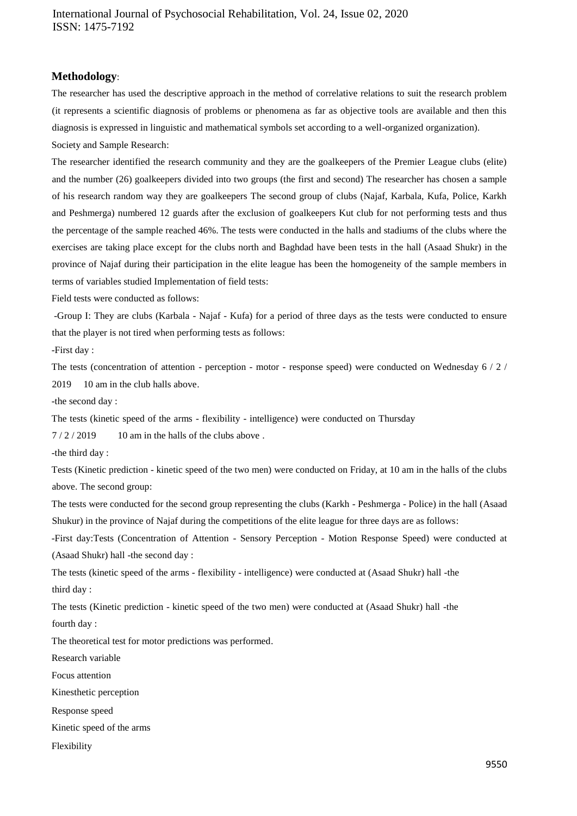### **Methodology**:

The researcher has used the descriptive approach in the method of correlative relations to suit the research problem (it represents a scientific diagnosis of problems or phenomena as far as objective tools are available and then this diagnosis is expressed in linguistic and mathematical symbols set according to a well-organized organization). Society and Sample Research:

The researcher identified the research community and they are the goalkeepers of the Premier League clubs (elite) and the number (26) goalkeepers divided into two groups (the first and second) The researcher has chosen a sample of his research random way they are goalkeepers The second group of clubs (Najaf, Karbala, Kufa, Police, Karkh and Peshmerga) numbered 12 guards after the exclusion of goalkeepers Kut club for not performing tests and thus the percentage of the sample reached 46%. The tests were conducted in the halls and stadiums of the clubs where the exercises are taking place except for the clubs north and Baghdad have been tests in the hall (Asaad Shukr) in the province of Najaf during their participation in the elite league has been the homogeneity of the sample members in terms of variables studied Implementation of field tests:

Field tests were conducted as follows:

-Group I: They are clubs (Karbala - Najaf - Kufa) for a period of three days as the tests were conducted to ensure that the player is not tired when performing tests as follows:

-First day :

The tests (concentration of attention - perception - motor - response speed) were conducted on Wednesday 6 / 2 / 2019 10 am in the club halls above.

-the second day :

The tests (kinetic speed of the arms - flexibility - intelligence) were conducted on Thursday

 $7/2/2019$  10 am in the halls of the clubs above.

-the third day :

Tests (Kinetic prediction - kinetic speed of the two men) were conducted on Friday, at 10 am in the halls of the clubs above. The second group:

The tests were conducted for the second group representing the clubs (Karkh - Peshmerga - Police) in the hall (Asaad Shukur) in the province of Najaf during the competitions of the elite league for three days are as follows:

-First day:Tests (Concentration of Attention - Sensory Perception - Motion Response Speed) were conducted at (Asaad Shukr) hall -the second day :

The tests (kinetic speed of the arms - flexibility - intelligence) were conducted at (Asaad Shukr) hall -the third day :

The tests (Kinetic prediction - kinetic speed of the two men) were conducted at (Asaad Shukr) hall -the fourth day :

The theoretical test for motor predictions was performed.

Research variable

Focus attention

Kinesthetic perception

Response speed

Kinetic speed of the arms

Flexibility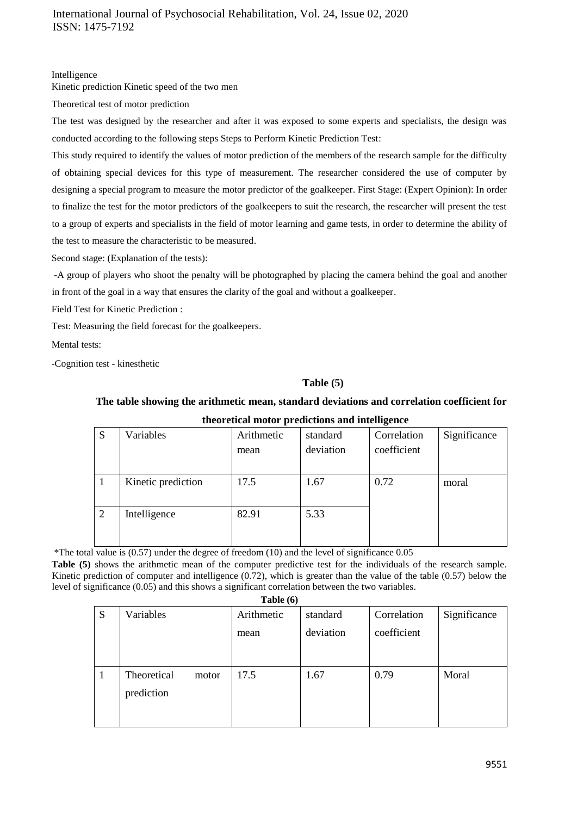### Intelligence

Kinetic prediction Kinetic speed of the two men

Theoretical test of motor prediction

The test was designed by the researcher and after it was exposed to some experts and specialists, the design was conducted according to the following steps Steps to Perform Kinetic Prediction Test:

This study required to identify the values of motor prediction of the members of the research sample for the difficulty of obtaining special devices for this type of measurement. The researcher considered the use of computer by designing a special program to measure the motor predictor of the goalkeeper. First Stage: (Expert Opinion): In order to finalize the test for the motor predictors of the goalkeepers to suit the research, the researcher will present the test to a group of experts and specialists in the field of motor learning and game tests, in order to determine the ability of the test to measure the characteristic to be measured.

Second stage: (Explanation of the tests):

-A group of players who shoot the penalty will be photographed by placing the camera behind the goal and another in front of the goal in a way that ensures the clarity of the goal and without a goalkeeper.

Field Test for Kinetic Prediction :

Test: Measuring the field forecast for the goalkeepers.

Mental tests:

-Cognition test - kinesthetic

### **Table (5)**

# **The table showing the arithmetic mean, standard deviations and correlation coefficient for theoretical motor predictions and intelligence**

|   |                    |            |           | $\overline{\phantom{a}}$ |              |
|---|--------------------|------------|-----------|--------------------------|--------------|
| S | Variables          | Arithmetic | standard  | Correlation              | Significance |
|   |                    | mean       | deviation | coefficient              |              |
|   |                    |            |           |                          |              |
|   | Kinetic prediction | 17.5       | 1.67      | 0.72                     | moral        |
|   |                    |            |           |                          |              |
| 2 | Intelligence       | 82.91      | 5.33      |                          |              |
|   |                    |            |           |                          |              |
|   |                    |            |           |                          |              |

\*The total value is (0.57) under the degree of freedom (10) and the level of significance 0.05

**Table (5)** shows the arithmetic mean of the computer predictive test for the individuals of the research sample. Kinetic prediction of computer and intelligence  $(0.72)$ , which is greater than the value of the table  $(0.57)$  below the level of significance (0.05) and this shows a significant correlation between the two variables.

|   | Table (6)                          |            |           |             |              |  |  |  |  |  |
|---|------------------------------------|------------|-----------|-------------|--------------|--|--|--|--|--|
| S | Variables                          | Arithmetic | standard  | Correlation | Significance |  |  |  |  |  |
|   |                                    | mean       | deviation | coefficient |              |  |  |  |  |  |
|   | Theoretical<br>motor<br>prediction | 17.5       | 1.67      | 0.79        | Moral        |  |  |  |  |  |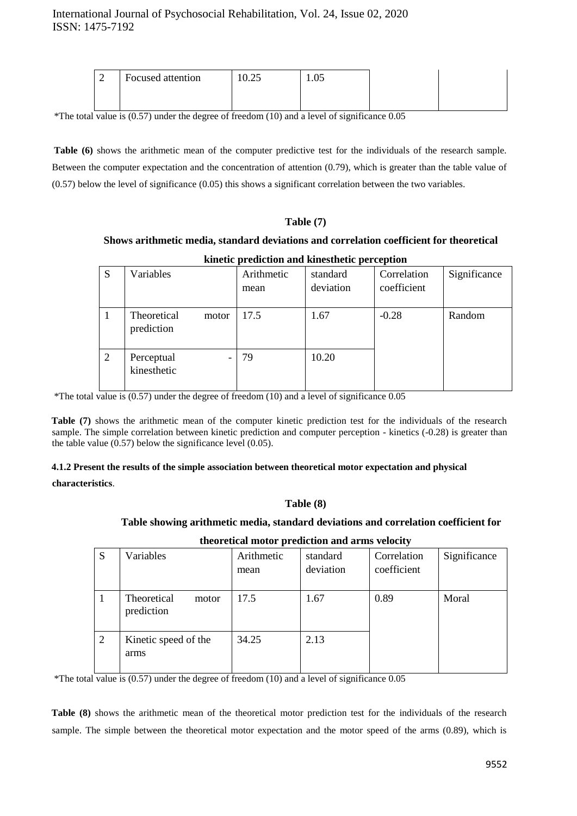| $\sim$<br>∼ | Focused attention | 10.25 | 1.0J |  |
|-------------|-------------------|-------|------|--|
|             |                   |       |      |  |
|             |                   |       |      |  |

\*The total value is (0.57) under the degree of freedom (10) and a level of significance 0.05

**Table (6)** shows the arithmetic mean of the computer predictive test for the individuals of the research sample. Between the computer expectation and the concentration of attention (0.79), which is greater than the table value of (0.57) below the level of significance (0.05) this shows a significant correlation between the two variables.

### **Table (7)**

# **Shows arithmetic media, standard deviations and correlation coefficient for theoretical kinetic prediction and kinesthetic perception**

| S | Variables                          | Arithmetic<br>mean | standard<br>deviation | Correlation<br>coefficient | Significance |  |  |
|---|------------------------------------|--------------------|-----------------------|----------------------------|--------------|--|--|
|   | Theoretical<br>motor<br>prediction | 17.5               | 1.67                  | $-0.28$                    | Random       |  |  |
|   | Perceptual<br>kinesthetic          | 79                 | 10.20                 |                            |              |  |  |

\*The total value is  $(0.57)$  under the degree of freedom  $(10)$  and a level of significance  $0.05$ 

**Table (7)** shows the arithmetic mean of the computer kinetic prediction test for the individuals of the research sample. The simple correlation between kinetic prediction and computer perception - kinetics (-0.28) is greater than the table value (0.57) below the significance level (0.05).

# **4.1.2 Present the results of the simple association between theoretical motor expectation and physical**

**characteristics**.

### **Table (8)**

### **Table showing arithmetic media, standard deviations and correlation coefficient for**

**theoretical motor prediction and arms velocity**

| S | Variables                          | Arithmetic<br>mean | standard<br>deviation | Correlation<br>coefficient | Significance |
|---|------------------------------------|--------------------|-----------------------|----------------------------|--------------|
|   | Theoretical<br>motor<br>prediction | 17.5               | 1.67                  | 0.89                       | Moral        |
| 2 | Kinetic speed of the<br>arms       | 34.25              | 2.13                  |                            |              |

\*The total value is (0.57) under the degree of freedom (10) and a level of significance 0.05

**Table (8)** shows the arithmetic mean of the theoretical motor prediction test for the individuals of the research sample. The simple between the theoretical motor expectation and the motor speed of the arms (0.89), which is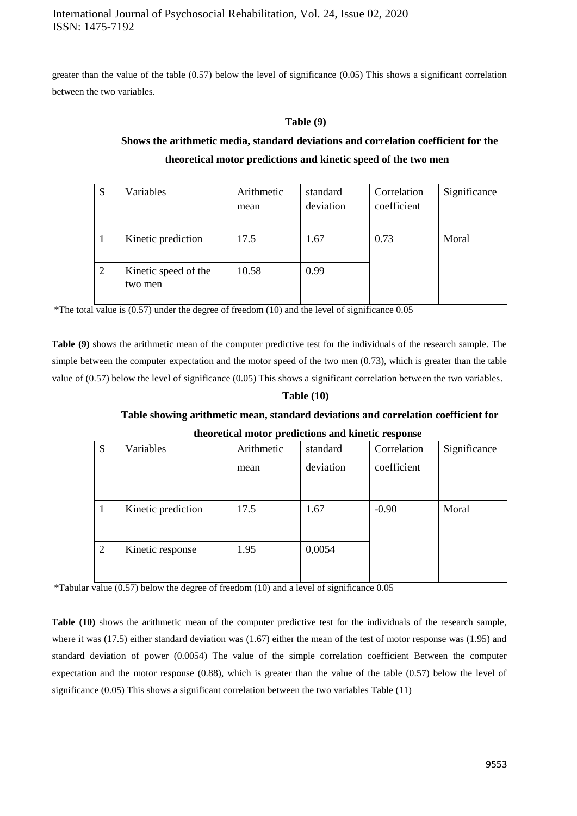greater than the value of the table (0.57) below the level of significance (0.05) This shows a significant correlation between the two variables.

### **Table (9)**

# **Shows the arithmetic media, standard deviations and correlation coefficient for the theoretical motor predictions and kinetic speed of the two men**

| S | Variables                       | Arithmetic<br>mean | standard<br>deviation | Correlation<br>coefficient | Significance |
|---|---------------------------------|--------------------|-----------------------|----------------------------|--------------|
|   | Kinetic prediction              | 17.5               | 1.67                  | 0.73                       | Moral        |
| 2 | Kinetic speed of the<br>two men | 10.58              | 0.99                  |                            |              |

\*The total value is  $(0.57)$  under the degree of freedom  $(10)$  and the level of significance  $0.05$ 

**Table (9)** shows the arithmetic mean of the computer predictive test for the individuals of the research sample. The simple between the computer expectation and the motor speed of the two men (0.73), which is greater than the table value of (0.57) below the level of significance (0.05) This shows a significant correlation between the two variables.

### **Table (10)**

### **Table showing arithmetic mean, standard deviations and correlation coefficient for**

| S | Variables          | Arithmetic | standard  | Correlation | Significance |
|---|--------------------|------------|-----------|-------------|--------------|
|   |                    | mean       | deviation | coefficient |              |
|   |                    |            |           |             |              |
|   |                    |            |           |             |              |
| 1 | Kinetic prediction | 17.5       | 1.67      | $-0.90$     | Moral        |
|   |                    |            |           |             |              |
|   |                    |            |           |             |              |
| 2 | Kinetic response   | 1.95       | 0,0054    |             |              |
|   |                    |            |           |             |              |
|   |                    |            |           |             |              |
|   |                    |            |           |             |              |

**theoretical motor predictions and kinetic response**

\*Tabular value (0.57) below the degree of freedom (10) and a level of significance 0.05

**Table (10)** shows the arithmetic mean of the computer predictive test for the individuals of the research sample, where it was (17.5) either standard deviation was (1.67) either the mean of the test of motor response was (1.95) and standard deviation of power (0.0054) The value of the simple correlation coefficient Between the computer expectation and the motor response (0.88), which is greater than the value of the table (0.57) below the level of significance (0.05) This shows a significant correlation between the two variables Table (11)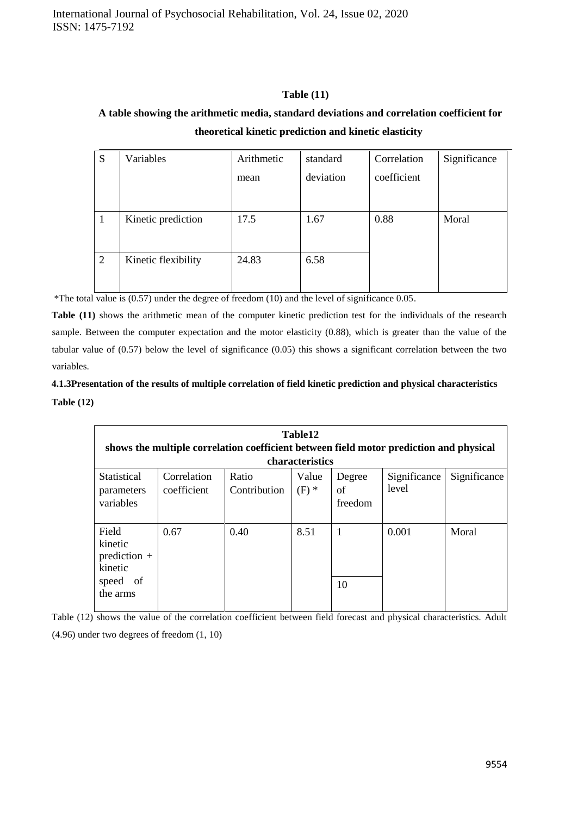### **Table (11)**

# **A table showing the arithmetic media, standard deviations and correlation coefficient for theoretical kinetic prediction and kinetic elasticity**

| S        | Variables           | Arithmetic | standard  | Correlation | Significance |
|----------|---------------------|------------|-----------|-------------|--------------|
|          |                     | mean       | deviation | coefficient |              |
|          |                     |            |           |             |              |
| $\bf{l}$ | Kinetic prediction  | 17.5       | 1.67      | 0.88        | Moral        |
| 2        | Kinetic flexibility | 24.83      | 6.58      |             |              |

\*The total value is (0.57) under the degree of freedom (10) and the level of significance 0.05.

Table (11) shows the arithmetic mean of the computer kinetic prediction test for the individuals of the research sample. Between the computer expectation and the motor elasticity (0.88), which is greater than the value of the tabular value of (0.57) below the level of significance (0.05) this shows a significant correlation between the two variables.

# **4.1.3Presentation of the results of multiple correlation of field kinetic prediction and physical characteristics Table (12)**

| Table12<br>shows the multiple correlation coefficient between field motor prediction and physical<br><b>characteristics</b> |                            |                       |                  |                         |                       |              |  |
|-----------------------------------------------------------------------------------------------------------------------------|----------------------------|-----------------------|------------------|-------------------------|-----------------------|--------------|--|
| <b>Statistical</b><br>parameters<br>variables                                                                               | Correlation<br>coefficient | Ratio<br>Contribution | Value<br>$(F)$ * | Degree<br>of<br>freedom | Significance<br>level | Significance |  |
| Field<br>kinetic<br>prediction $+$<br>kinetic<br>of<br>speed<br>the arms                                                    | 0.67                       | 0.40                  | 8.51             | 1<br>10                 | 0.001                 | Moral        |  |

Table (12) shows the value of the correlation coefficient between field forecast and physical characteristics. Adult (4.96) under two degrees of freedom (1, 10)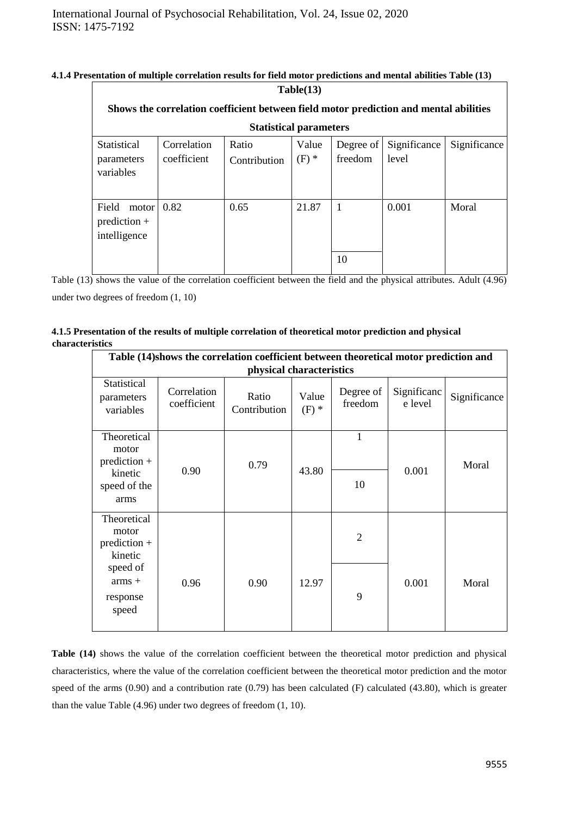### **4.1.4 Presentation of multiple correlation results for field motor predictions and mental abilities Table (13)**

|                                                  | Table(13)                                                                             |                               |                  |                      |                       |              |  |  |
|--------------------------------------------------|---------------------------------------------------------------------------------------|-------------------------------|------------------|----------------------|-----------------------|--------------|--|--|
|                                                  | Shows the correlation coefficient between field motor prediction and mental abilities |                               |                  |                      |                       |              |  |  |
|                                                  |                                                                                       | <b>Statistical parameters</b> |                  |                      |                       |              |  |  |
| Statistical<br>parameters<br>variables           | Correlation<br>coefficient                                                            | Ratio<br>Contribution         | Value<br>$(F)$ * | Degree of<br>freedom | Significance<br>level | Significance |  |  |
| Field<br>motor<br>$prediction +$<br>intelligence | 0.82                                                                                  | 0.65                          | 21.87            | 1<br>10              | 0.001                 | Moral        |  |  |

Table (13) shows the value of the correlation coefficient between the field and the physical attributes. Adult (4.96) under two degrees of freedom (1, 10)

### **4.1.5 Presentation of the results of multiple correlation of theoretical motor prediction and physical characteristics**

|                                                                   | Table (14)shows the correlation coefficient between theoretical motor prediction and |                          |                  |                      |                        |              |  |  |
|-------------------------------------------------------------------|--------------------------------------------------------------------------------------|--------------------------|------------------|----------------------|------------------------|--------------|--|--|
|                                                                   |                                                                                      | physical characteristics |                  |                      |                        |              |  |  |
| Statistical<br>parameters<br>variables                            | Correlation<br>coefficient                                                           | Ratio<br>Contribution    | Value<br>$(F)$ * | Degree of<br>freedom | Significanc<br>e level | Significance |  |  |
| Theoretical<br>motor<br>$prediction +$<br>kinetic<br>speed of the | 0.90                                                                                 | 0.79                     | 43.80            | 1<br>10              | 0.001                  | Moral        |  |  |
| arms                                                              |                                                                                      |                          |                  |                      |                        |              |  |  |
| Theoretical<br>motor<br>$prediction +$<br>kinetic                 |                                                                                      |                          |                  | $\overline{2}$       |                        |              |  |  |
| speed of<br>$arms +$<br>response<br>speed                         | 0.96                                                                                 | 0.90                     | 12.97            | 9                    | 0.001                  | Moral        |  |  |

**Table (14)** shows the value of the correlation coefficient between the theoretical motor prediction and physical characteristics, where the value of the correlation coefficient between the theoretical motor prediction and the motor speed of the arms (0.90) and a contribution rate (0.79) has been calculated (F) calculated (43.80), which is greater than the value Table (4.96) under two degrees of freedom (1, 10).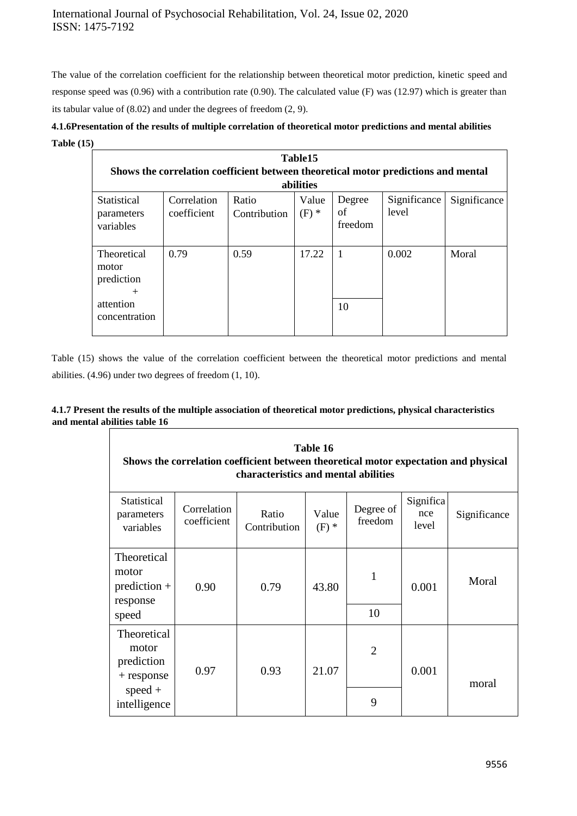The value of the correlation coefficient for the relationship between theoretical motor prediction, kinetic speed and response speed was (0.96) with a contribution rate (0.90). The calculated value (F) was (12.97) which is greater than its tabular value of (8.02) and under the degrees of freedom (2, 9).

# **4.1.6Presentation of the results of multiple correlation of theoretical motor predictions and mental abilities Table (15)**

| Table15<br>Shows the correlation coefficient between theoretical motor predictions and mental |                            |                       |                  |                         |                       |              |
|-----------------------------------------------------------------------------------------------|----------------------------|-----------------------|------------------|-------------------------|-----------------------|--------------|
|                                                                                               |                            |                       | abilities        |                         |                       |              |
| Statistical<br>parameters<br>variables                                                        | Correlation<br>coefficient | Ratio<br>Contribution | Value<br>$(F)$ * | Degree<br>οf<br>freedom | Significance<br>level | Significance |
| Theoretical<br>motor<br>prediction<br>$^{+}$<br>attention<br>concentration                    | 0.79                       | 0.59                  | 17.22            | $\overline{1}$<br>10    | 0.002                 | Moral        |

Table (15) shows the value of the correlation coefficient between the theoretical motor predictions and mental abilities. (4.96) under two degrees of freedom (1, 10).

**4.1.7 Present the results of the multiple association of theoretical motor predictions, physical characteristics and mental abilities table 16** 

| Table 16<br>Shows the correlation coefficient between theoretical motor expectation and physical<br>characteristics and mental abilities |                            |                       |                  |                      |                           |              |  |  |  |  |
|------------------------------------------------------------------------------------------------------------------------------------------|----------------------------|-----------------------|------------------|----------------------|---------------------------|--------------|--|--|--|--|
| Statistical<br>parameters<br>variables                                                                                                   | Correlation<br>coefficient | Ratio<br>Contribution | Value<br>$(F)$ * | Degree of<br>freedom | Significa<br>nce<br>level | Significance |  |  |  |  |
| Theoretical<br>motor<br>$prediction +$<br>response<br>speed                                                                              | 0.90                       | 0.79                  | 43.80            | 1<br>10              | 0.001                     | Moral        |  |  |  |  |
| Theoretical<br>motor<br>prediction<br>+ response                                                                                         | 0.97                       | 0.93                  | 21.07            | $\overline{2}$       | 0.001                     | moral        |  |  |  |  |
| $speed +$<br>intelligence                                                                                                                |                            |                       |                  | 9                    |                           |              |  |  |  |  |

٦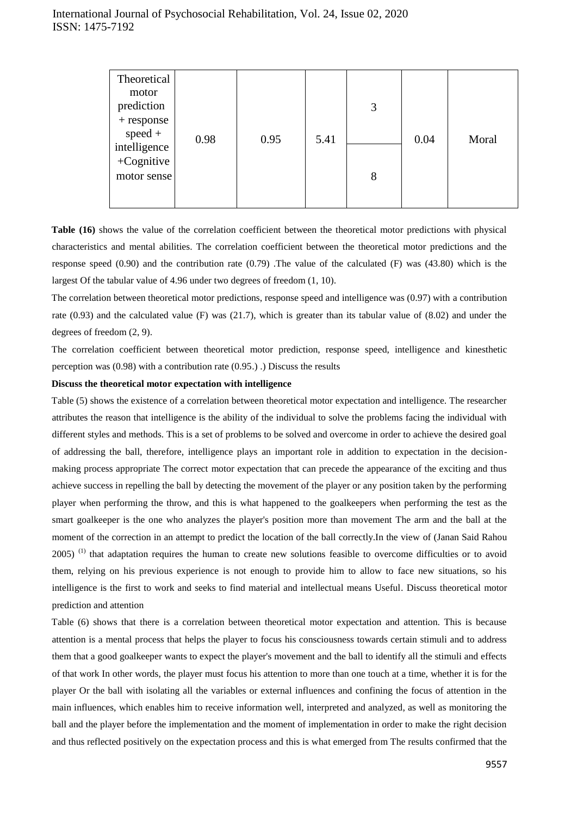| Theoretical<br>motor<br>prediction                     |      |      |      | 3 |      |       |
|--------------------------------------------------------|------|------|------|---|------|-------|
| + response<br>speed +<br>intelligence<br>$+C$ ognitive | 0.98 | 0.95 | 5.41 |   | 0.04 | Moral |
| motor sense                                            |      |      |      | 8 |      |       |

**Table (16)** shows the value of the correlation coefficient between the theoretical motor predictions with physical characteristics and mental abilities. The correlation coefficient between the theoretical motor predictions and the response speed (0.90) and the contribution rate (0.79) .The value of the calculated (F) was (43.80) which is the largest Of the tabular value of 4.96 under two degrees of freedom (1, 10).

The correlation between theoretical motor predictions, response speed and intelligence was (0.97) with a contribution rate  $(0.93)$  and the calculated value (F) was  $(21.7)$ , which is greater than its tabular value of  $(8.02)$  and under the degrees of freedom (2, 9).

The correlation coefficient between theoretical motor prediction, response speed, intelligence and kinesthetic perception was (0.98) with a contribution rate (0.95.) .) Discuss the results

#### **Discuss the theoretical motor expectation with intelligence**

Table (5) shows the existence of a correlation between theoretical motor expectation and intelligence. The researcher attributes the reason that intelligence is the ability of the individual to solve the problems facing the individual with different styles and methods. This is a set of problems to be solved and overcome in order to achieve the desired goal of addressing the ball, therefore, intelligence plays an important role in addition to expectation in the decisionmaking process appropriate The correct motor expectation that can precede the appearance of the exciting and thus achieve success in repelling the ball by detecting the movement of the player or any position taken by the performing player when performing the throw, and this is what happened to the goalkeepers when performing the test as the smart goalkeeper is the one who analyzes the player's position more than movement The arm and the ball at the moment of the correction in an attempt to predict the location of the ball correctly.In the view of (Janan Said Rahou 2005)<sup>(1)</sup> that adaptation requires the human to create new solutions feasible to overcome difficulties or to avoid them, relying on his previous experience is not enough to provide him to allow to face new situations, so his intelligence is the first to work and seeks to find material and intellectual means Useful. Discuss theoretical motor prediction and attention

Table (6) shows that there is a correlation between theoretical motor expectation and attention. This is because attention is a mental process that helps the player to focus his consciousness towards certain stimuli and to address them that a good goalkeeper wants to expect the player's movement and the ball to identify all the stimuli and effects of that work In other words, the player must focus his attention to more than one touch at a time, whether it is for the player Or the ball with isolating all the variables or external influences and confining the focus of attention in the main influences, which enables him to receive information well, interpreted and analyzed, as well as monitoring the ball and the player before the implementation and the moment of implementation in order to make the right decision and thus reflected positively on the expectation process and this is what emerged from The results confirmed that the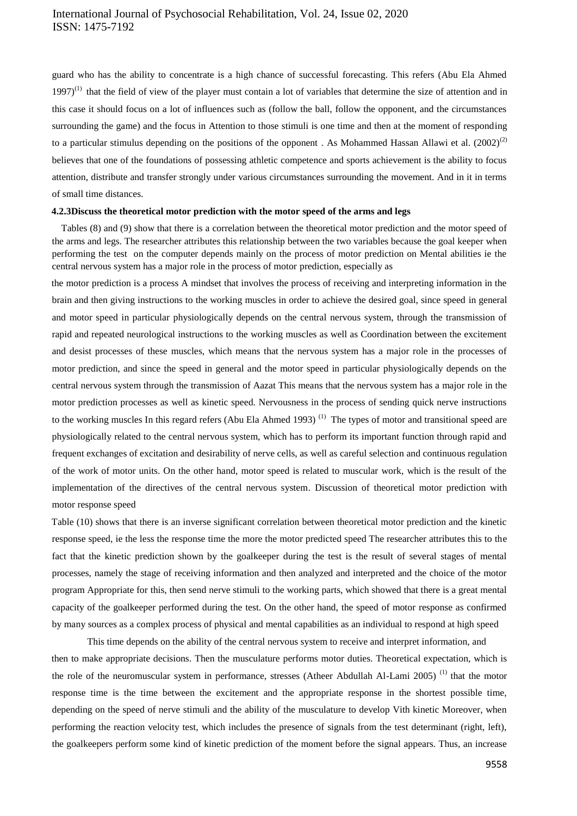guard who has the ability to concentrate is a high chance of successful forecasting. This refers (Abu Ela Ahmed  $1997)^{(1)}$  that the field of view of the player must contain a lot of variables that determine the size of attention and in this case it should focus on a lot of influences such as (follow the ball, follow the opponent, and the circumstances surrounding the game) and the focus in Attention to those stimuli is one time and then at the moment of responding to a particular stimulus depending on the positions of the opponent. As Mohammed Hassan Allawi et al.  $(2002)^{(2)}$ believes that one of the foundations of possessing athletic competence and sports achievement is the ability to focus attention, distribute and transfer strongly under various circumstances surrounding the movement. And in it in terms of small time distances.

#### **4.2.3Discuss the theoretical motor prediction with the motor speed of the arms and legs**

 Tables (8) and (9) show that there is a correlation between the theoretical motor prediction and the motor speed of the arms and legs. The researcher attributes this relationship between the two variables because the goal keeper when performing the test on the computer depends mainly on the process of motor prediction on Mental abilities ie the central nervous system has a major role in the process of motor prediction, especially as

the motor prediction is a process A mindset that involves the process of receiving and interpreting information in the brain and then giving instructions to the working muscles in order to achieve the desired goal, since speed in general and motor speed in particular physiologically depends on the central nervous system, through the transmission of rapid and repeated neurological instructions to the working muscles as well as Coordination between the excitement and desist processes of these muscles, which means that the nervous system has a major role in the processes of motor prediction, and since the speed in general and the motor speed in particular physiologically depends on the central nervous system through the transmission of Aazat This means that the nervous system has a major role in the motor prediction processes as well as kinetic speed. Nervousness in the process of sending quick nerve instructions to the working muscles In this regard refers (Abu Ela Ahmed 1993)<sup>(1)</sup> The types of motor and transitional speed are physiologically related to the central nervous system, which has to perform its important function through rapid and frequent exchanges of excitation and desirability of nerve cells, as well as careful selection and continuous regulation of the work of motor units. On the other hand, motor speed is related to muscular work, which is the result of the implementation of the directives of the central nervous system. Discussion of theoretical motor prediction with motor response speed

Table (10) shows that there is an inverse significant correlation between theoretical motor prediction and the kinetic response speed, ie the less the response time the more the motor predicted speed The researcher attributes this to the fact that the kinetic prediction shown by the goalkeeper during the test is the result of several stages of mental processes, namely the stage of receiving information and then analyzed and interpreted and the choice of the motor program Appropriate for this, then send nerve stimuli to the working parts, which showed that there is a great mental capacity of the goalkeeper performed during the test. On the other hand, the speed of motor response as confirmed by many sources as a complex process of physical and mental capabilities as an individual to respond at high speed

This time depends on the ability of the central nervous system to receive and interpret information, and then to make appropriate decisions. Then the musculature performs motor duties. Theoretical expectation, which is the role of the neuromuscular system in performance, stresses (Atheer Abdullah Al-Lami 2005)<sup>(1)</sup> that the motor response time is the time between the excitement and the appropriate response in the shortest possible time, depending on the speed of nerve stimuli and the ability of the musculature to develop Vith kinetic Moreover, when performing the reaction velocity test, which includes the presence of signals from the test determinant (right, left), the goalkeepers perform some kind of kinetic prediction of the moment before the signal appears. Thus, an increase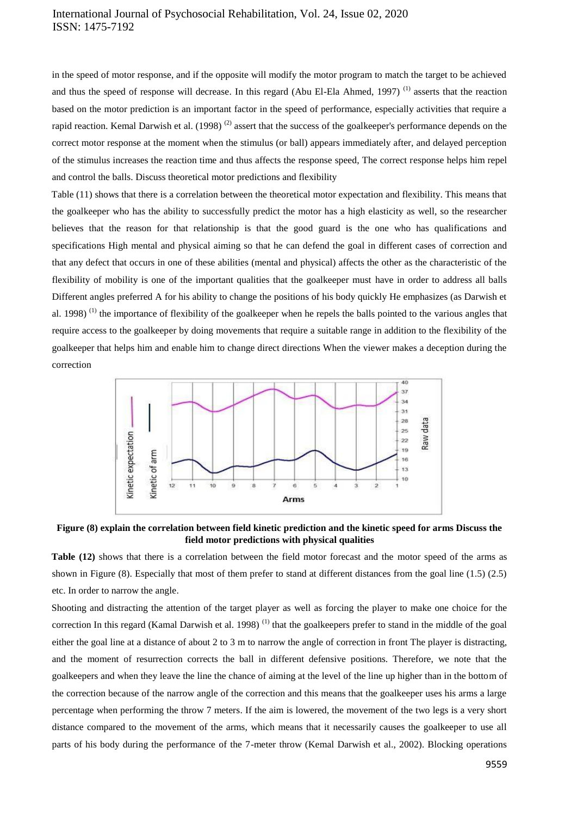in the speed of motor response, and if the opposite will modify the motor program to match the target to be achieved and thus the speed of response will decrease. In this regard (Abu El-Ela Ahmed, 1997)<sup>(1)</sup> asserts that the reaction based on the motor prediction is an important factor in the speed of performance, especially activities that require a rapid reaction. Kemal Darwish et al. (1998)<sup>(2)</sup> assert that the success of the goalkeeper's performance depends on the correct motor response at the moment when the stimulus (or ball) appears immediately after, and delayed perception of the stimulus increases the reaction time and thus affects the response speed, The correct response helps him repel and control the balls. Discuss theoretical motor predictions and flexibility

Table (11) shows that there is a correlation between the theoretical motor expectation and flexibility. This means that the goalkeeper who has the ability to successfully predict the motor has a high elasticity as well, so the researcher believes that the reason for that relationship is that the good guard is the one who has qualifications and specifications High mental and physical aiming so that he can defend the goal in different cases of correction and that any defect that occurs in one of these abilities (mental and physical) affects the other as the characteristic of the flexibility of mobility is one of the important qualities that the goalkeeper must have in order to address all balls Different angles preferred A for his ability to change the positions of his body quickly He emphasizes (as Darwish et al. 1998)<sup>(1)</sup> the importance of flexibility of the goalkeeper when he repels the balls pointed to the various angles that require access to the goalkeeper by doing movements that require a suitable range in addition to the flexibility of the goalkeeper that helps him and enable him to change direct directions When the viewer makes a deception during the correction



**Figure (8) explain the correlation between field kinetic prediction and the kinetic speed for arms Discuss the field motor predictions with physical qualities**

**Table (12)** shows that there is a correlation between the field motor forecast and the motor speed of the arms as shown in Figure (8). Especially that most of them prefer to stand at different distances from the goal line (1.5) (2.5) etc. In order to narrow the angle.

Shooting and distracting the attention of the target player as well as forcing the player to make one choice for the correction In this regard (Kamal Darwish et al. 1998)<sup>(1)</sup> that the goalkeepers prefer to stand in the middle of the goal either the goal line at a distance of about 2 to 3 m to narrow the angle of correction in front The player is distracting, and the moment of resurrection corrects the ball in different defensive positions. Therefore, we note that the goalkeepers and when they leave the line the chance of aiming at the level of the line up higher than in the bottom of the correction because of the narrow angle of the correction and this means that the goalkeeper uses his arms a large percentage when performing the throw 7 meters. If the aim is lowered, the movement of the two legs is a very short distance compared to the movement of the arms, which means that it necessarily causes the goalkeeper to use all parts of his body during the performance of the 7-meter throw (Kemal Darwish et al., 2002). Blocking operations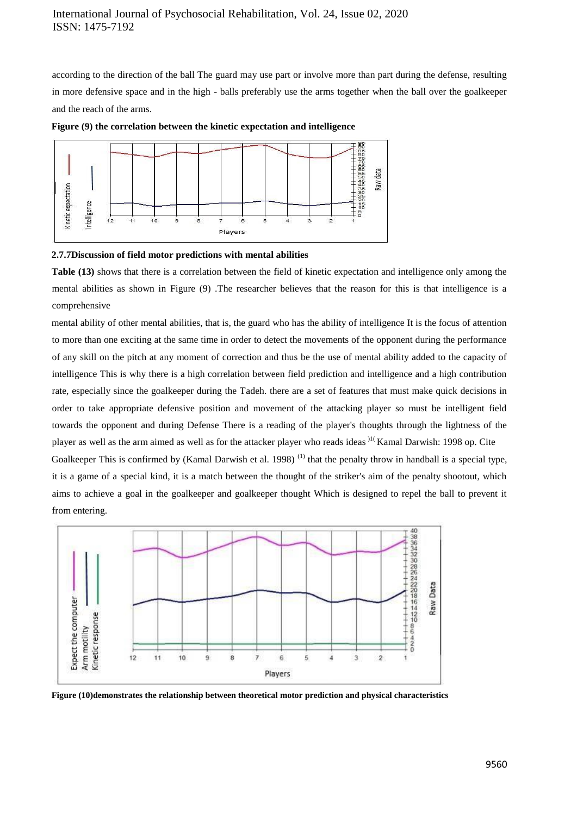according to the direction of the ball The guard may use part or involve more than part during the defense, resulting in more defensive space and in the high - balls preferably use the arms together when the ball over the goalkeeper and the reach of the arms.



**Figure (9) the correlation between the kinetic expectation and intelligence** 

### **2.7.7Discussion of field motor predictions with mental abilities**

**Table (13)** shows that there is a correlation between the field of kinetic expectation and intelligence only among the mental abilities as shown in Figure (9) .The researcher believes that the reason for this is that intelligence is a comprehensive

mental ability of other mental abilities, that is, the guard who has the ability of intelligence It is the focus of attention to more than one exciting at the same time in order to detect the movements of the opponent during the performance of any skill on the pitch at any moment of correction and thus be the use of mental ability added to the capacity of intelligence This is why there is a high correlation between field prediction and intelligence and a high contribution rate, especially since the goalkeeper during the Tadeh. there are a set of features that must make quick decisions in order to take appropriate defensive position and movement of the attacking player so must be intelligent field towards the opponent and during Defense There is a reading of the player's thoughts through the lightness of the player as well as the arm aimed as well as for the attacker player who reads ideas <sup>II</sup> Kamal Darwish: 1998 op. Cite Goalkeeper This is confirmed by (Kamal Darwish et al. 1998)<sup>(1)</sup> that the penalty throw in handball is a special type, it is a game of a special kind, it is a match between the thought of the striker's aim of the penalty shootout, which aims to achieve a goal in the goalkeeper and goalkeeper thought Which is designed to repel the ball to prevent it from entering.



**Figure (10)demonstrates the relationship between theoretical motor prediction and physical characteristics**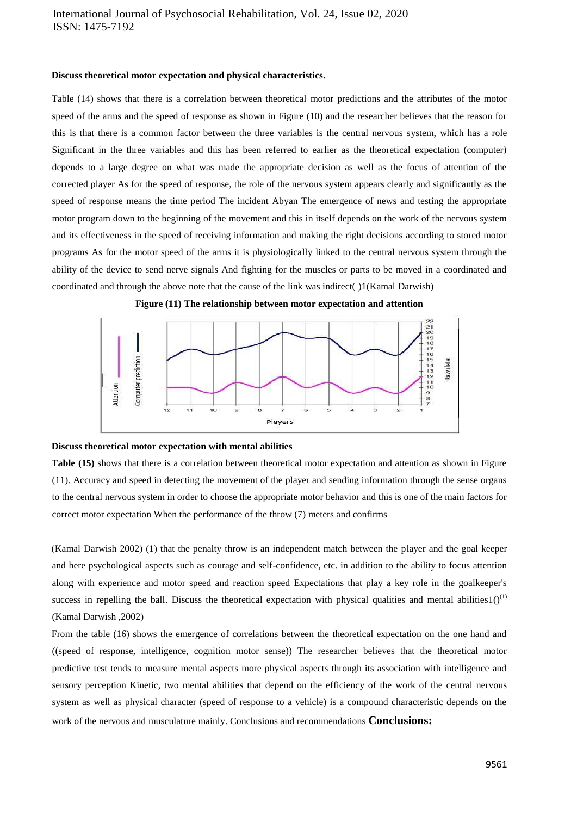#### **Discuss theoretical motor expectation and physical characteristics.**

Table (14) shows that there is a correlation between theoretical motor predictions and the attributes of the motor speed of the arms and the speed of response as shown in Figure (10) and the researcher believes that the reason for this is that there is a common factor between the three variables is the central nervous system, which has a role Significant in the three variables and this has been referred to earlier as the theoretical expectation (computer) depends to a large degree on what was made the appropriate decision as well as the focus of attention of the corrected player As for the speed of response, the role of the nervous system appears clearly and significantly as the speed of response means the time period The incident Abyan The emergence of news and testing the appropriate motor program down to the beginning of the movement and this in itself depends on the work of the nervous system and its effectiveness in the speed of receiving information and making the right decisions according to stored motor programs As for the motor speed of the arms it is physiologically linked to the central nervous system through the ability of the device to send nerve signals And fighting for the muscles or parts to be moved in a coordinated and coordinated and through the above note that the cause of the link was indirect( )1(Kamal Darwish)





#### **Discuss theoretical motor expectation with mental abilities**

**Table (15)** shows that there is a correlation between theoretical motor expectation and attention as shown in Figure (11). Accuracy and speed in detecting the movement of the player and sending information through the sense organs to the central nervous system in order to choose the appropriate motor behavior and this is one of the main factors for correct motor expectation When the performance of the throw (7) meters and confirms

(Kamal Darwish 2002) (1) that the penalty throw is an independent match between the player and the goal keeper and here psychological aspects such as courage and self-confidence, etc. in addition to the ability to focus attention along with experience and motor speed and reaction speed Expectations that play a key role in the goalkeeper's success in repelling the ball. Discuss the theoretical expectation with physical qualities and mental abilities  $10^{(1)}$ (Kamal Darwish ,2002)

From the table (16) shows the emergence of correlations between the theoretical expectation on the one hand and ((speed of response, intelligence, cognition motor sense)) The researcher believes that the theoretical motor predictive test tends to measure mental aspects more physical aspects through its association with intelligence and sensory perception Kinetic, two mental abilities that depend on the efficiency of the work of the central nervous system as well as physical character (speed of response to a vehicle) is a compound characteristic depends on the work of the nervous and musculature mainly. Conclusions and recommendations **Conclusions:**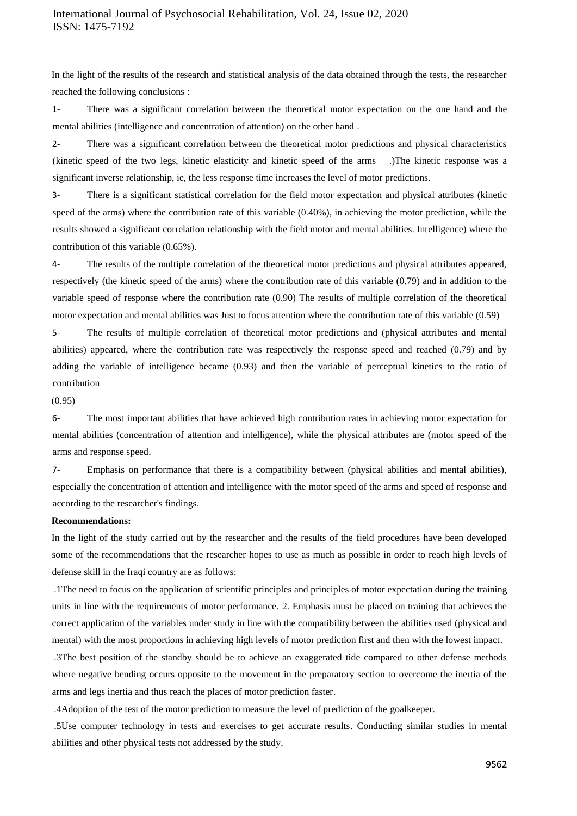In the light of the results of the research and statistical analysis of the data obtained through the tests, the researcher reached the following conclusions :

1- There was a significant correlation between the theoretical motor expectation on the one hand and the mental abilities (intelligence and concentration of attention) on the other hand .

2- There was a significant correlation between the theoretical motor predictions and physical characteristics (kinetic speed of the two legs, kinetic elasticity and kinetic speed of the arms .)The kinetic response was a significant inverse relationship, ie, the less response time increases the level of motor predictions.

3- There is a significant statistical correlation for the field motor expectation and physical attributes (kinetic speed of the arms) where the contribution rate of this variable (0.40%), in achieving the motor prediction, while the results showed a significant correlation relationship with the field motor and mental abilities. Intelligence) where the contribution of this variable (0.65%).

4- The results of the multiple correlation of the theoretical motor predictions and physical attributes appeared, respectively (the kinetic speed of the arms) where the contribution rate of this variable (0.79) and in addition to the variable speed of response where the contribution rate (0.90) The results of multiple correlation of the theoretical motor expectation and mental abilities was Just to focus attention where the contribution rate of this variable (0.59)

5- The results of multiple correlation of theoretical motor predictions and (physical attributes and mental abilities) appeared, where the contribution rate was respectively the response speed and reached (0.79) and by adding the variable of intelligence became (0.93) and then the variable of perceptual kinetics to the ratio of contribution

 $(0.95)$ 

6- The most important abilities that have achieved high contribution rates in achieving motor expectation for mental abilities (concentration of attention and intelligence), while the physical attributes are (motor speed of the arms and response speed.

7- Emphasis on performance that there is a compatibility between (physical abilities and mental abilities), especially the concentration of attention and intelligence with the motor speed of the arms and speed of response and according to the researcher's findings.

#### **Recommendations:**

In the light of the study carried out by the researcher and the results of the field procedures have been developed some of the recommendations that the researcher hopes to use as much as possible in order to reach high levels of defense skill in the Iraqi country are as follows:

.1The need to focus on the application of scientific principles and principles of motor expectation during the training units in line with the requirements of motor performance. 2. Emphasis must be placed on training that achieves the correct application of the variables under study in line with the compatibility between the abilities used (physical and mental) with the most proportions in achieving high levels of motor prediction first and then with the lowest impact.

.3The best position of the standby should be to achieve an exaggerated tide compared to other defense methods where negative bending occurs opposite to the movement in the preparatory section to overcome the inertia of the arms and legs inertia and thus reach the places of motor prediction faster.

.4Adoption of the test of the motor prediction to measure the level of prediction of the goalkeeper.

.5Use computer technology in tests and exercises to get accurate results. Conducting similar studies in mental abilities and other physical tests not addressed by the study.